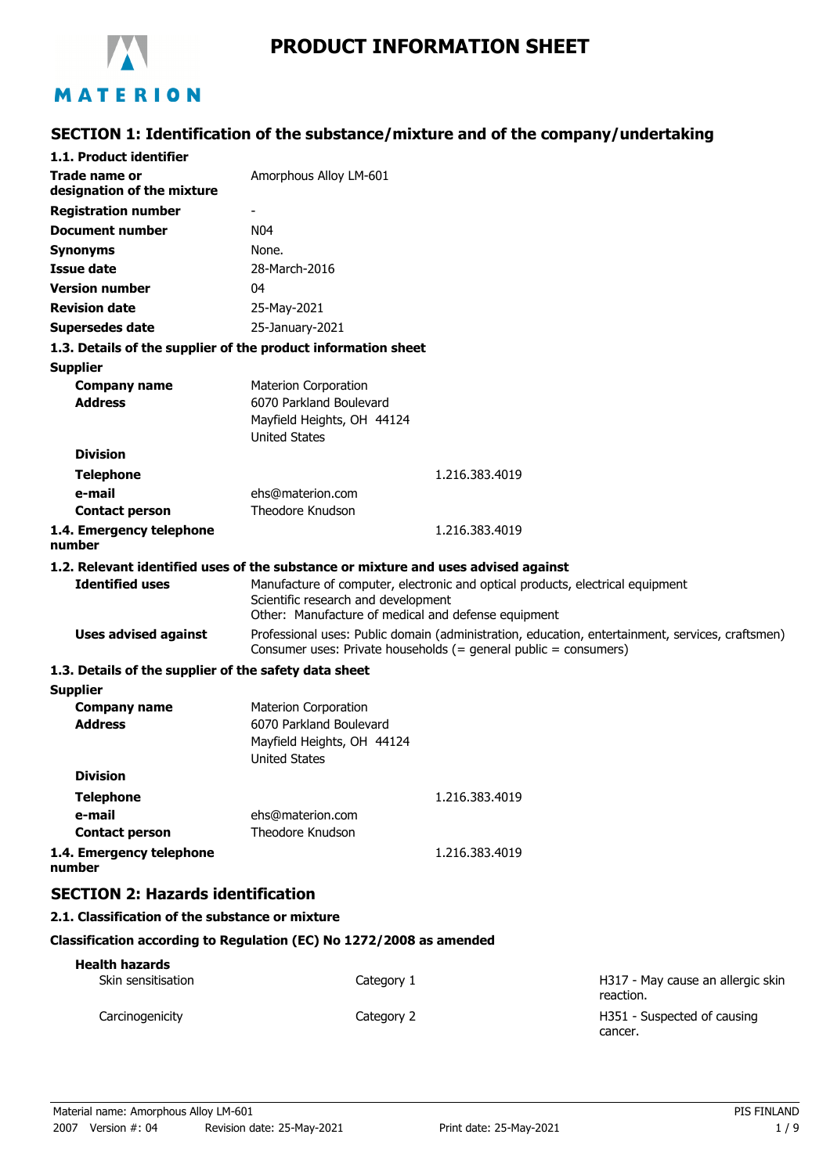

# **PRODUCT INFORMATION SHEET**

# **SECTION 1: Identification of the substance/mixture and of the company/undertaking**

| 1.1. Product identifier                                                            |                                                                                                                                                                              |                |                                                                                                  |
|------------------------------------------------------------------------------------|------------------------------------------------------------------------------------------------------------------------------------------------------------------------------|----------------|--------------------------------------------------------------------------------------------------|
| Trade name or<br>designation of the mixture                                        | Amorphous Alloy LM-601                                                                                                                                                       |                |                                                                                                  |
| <b>Registration number</b>                                                         |                                                                                                                                                                              |                |                                                                                                  |
| <b>Document number</b>                                                             | N <sub>04</sub>                                                                                                                                                              |                |                                                                                                  |
| <b>Synonyms</b>                                                                    | None.                                                                                                                                                                        |                |                                                                                                  |
| <b>Issue date</b>                                                                  | 28-March-2016                                                                                                                                                                |                |                                                                                                  |
| <b>Version number</b>                                                              | 04                                                                                                                                                                           |                |                                                                                                  |
| <b>Revision date</b>                                                               | 25-May-2021                                                                                                                                                                  |                |                                                                                                  |
| Supersedes date                                                                    | 25-January-2021                                                                                                                                                              |                |                                                                                                  |
| 1.3. Details of the supplier of the product information sheet                      |                                                                                                                                                                              |                |                                                                                                  |
| <b>Supplier</b>                                                                    |                                                                                                                                                                              |                |                                                                                                  |
| <b>Company name</b>                                                                | <b>Materion Corporation</b>                                                                                                                                                  |                |                                                                                                  |
| <b>Address</b>                                                                     | 6070 Parkland Boulevard                                                                                                                                                      |                |                                                                                                  |
|                                                                                    | Mayfield Heights, OH 44124                                                                                                                                                   |                |                                                                                                  |
|                                                                                    | <b>United States</b>                                                                                                                                                         |                |                                                                                                  |
| <b>Division</b>                                                                    |                                                                                                                                                                              |                |                                                                                                  |
| <b>Telephone</b>                                                                   |                                                                                                                                                                              | 1.216.383.4019 |                                                                                                  |
| e-mail                                                                             | ehs@materion.com                                                                                                                                                             |                |                                                                                                  |
| <b>Contact person</b>                                                              | Theodore Knudson                                                                                                                                                             |                |                                                                                                  |
| 1.4. Emergency telephone<br>number                                                 |                                                                                                                                                                              | 1.216.383.4019 |                                                                                                  |
| 1.2. Relevant identified uses of the substance or mixture and uses advised against |                                                                                                                                                                              |                |                                                                                                  |
| <b>Identified uses</b>                                                             | Manufacture of computer, electronic and optical products, electrical equipment<br>Scientific research and development<br>Other: Manufacture of medical and defense equipment |                |                                                                                                  |
| <b>Uses advised against</b>                                                        | Consumer uses: Private households (= general public = consumers)                                                                                                             |                | Professional uses: Public domain (administration, education, entertainment, services, craftsmen) |
| 1.3. Details of the supplier of the safety data sheet                              |                                                                                                                                                                              |                |                                                                                                  |
| <b>Supplier</b>                                                                    |                                                                                                                                                                              |                |                                                                                                  |
| <b>Company name</b>                                                                | <b>Materion Corporation</b>                                                                                                                                                  |                |                                                                                                  |
| <b>Address</b>                                                                     | 6070 Parkland Boulevard                                                                                                                                                      |                |                                                                                                  |
|                                                                                    | Mayfield Heights, OH 44124<br><b>United States</b>                                                                                                                           |                |                                                                                                  |
| <b>Division</b>                                                                    |                                                                                                                                                                              |                |                                                                                                  |
| <b>Telephone</b>                                                                   |                                                                                                                                                                              | 1.216.383.4019 |                                                                                                  |
| e-mail                                                                             | ehs@materion.com                                                                                                                                                             |                |                                                                                                  |
| <b>Contact person</b>                                                              | Theodore Knudson                                                                                                                                                             |                |                                                                                                  |
| 1.4. Emergency telephone<br>number                                                 |                                                                                                                                                                              | 1.216.383.4019 |                                                                                                  |
| <b>SECTION 2: Hazards identification</b>                                           |                                                                                                                                                                              |                |                                                                                                  |
| 2.1. Classification of the substance or mixture                                    |                                                                                                                                                                              |                |                                                                                                  |
| Classification according to Regulation (EC) No 1272/2008 as amended                |                                                                                                                                                                              |                |                                                                                                  |
| <b>Health hazards</b>                                                              |                                                                                                                                                                              |                |                                                                                                  |
| Skin sensitisation                                                                 | Category 1                                                                                                                                                                   |                | H317 - May cause an allergic skin<br>reaction.                                                   |
| Carcinogenicity                                                                    | Category 2                                                                                                                                                                   |                | H351 - Suspected of causing<br>cancer.                                                           |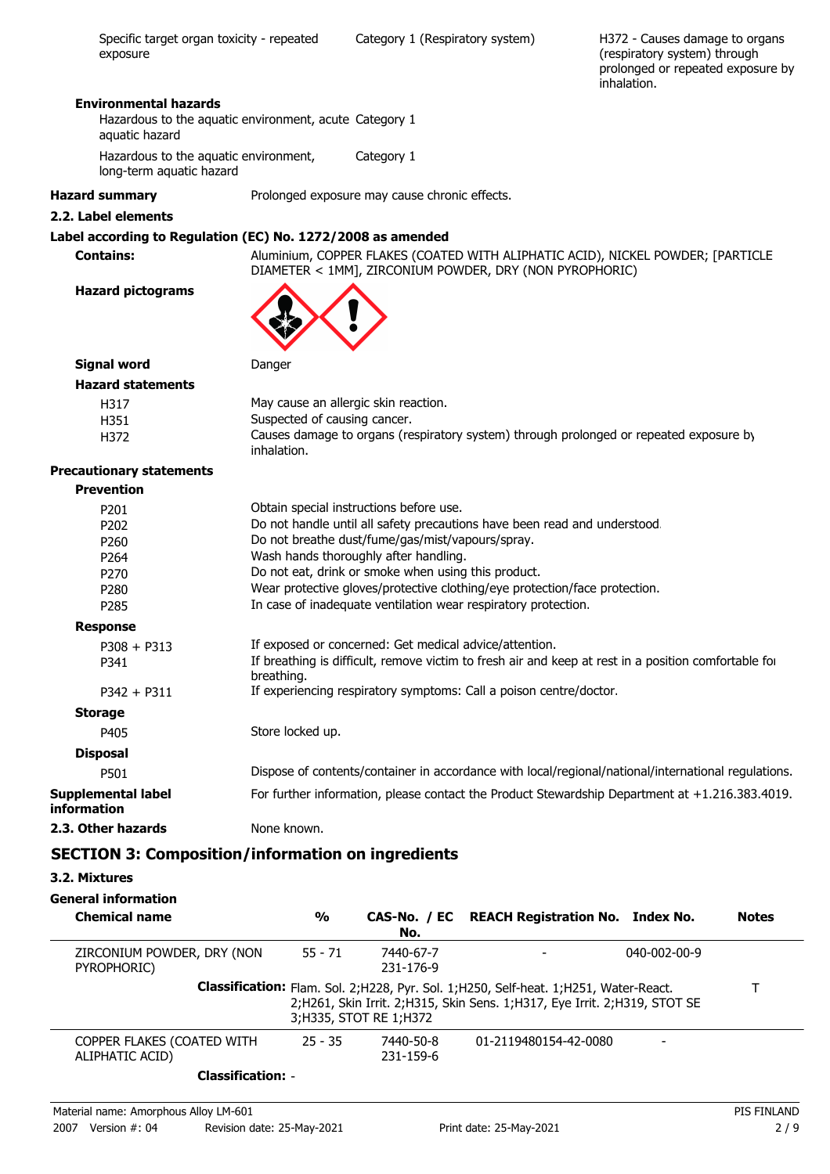H372 - Causes damage to organs (respiratory system) through prolonged or repeated exposure by inhalation.

#### **Environmental hazards**

Hazardous to the aquatic environment, acute Category 1 aquatic hazard

Hazardous to the aquatic environment, Category 1

long-term aquatic hazard

```
Hazard summary Prolonged exposure may cause chronic effects.
```
### **2.2. Label elements**

### **Label according to Regulation (EC) No. 1272/2008 as amended**

**Contains:** Aluminium, COPPER FLAKES (COATED WITH ALIPHATIC ACID), NICKEL POWDER; [PARTICLE DIAMETER < 1MM], ZIRCONIUM POWDER, DRY (NON PYROPHORIC)

**Hazard pictograms**



| Signal word<br>Danger |  |
|-----------------------|--|
|-----------------------|--|

| <b>Hazard statements</b> |                                                                                                       |
|--------------------------|-------------------------------------------------------------------------------------------------------|
| H317                     | May cause an allergic skin reaction.                                                                  |
| H351                     | Suspected of causing cancer.                                                                          |
| H372                     | Causes damage to organs (respiratory system) through prolonged or repeated exposure by<br>inhalation. |

### **Precautionary statements**

#### **Prevention**

| P <sub>201</sub>                         | Obtain special instructions before use.                                                                            |
|------------------------------------------|--------------------------------------------------------------------------------------------------------------------|
| P <sub>202</sub>                         | Do not handle until all safety precautions have been read and understood.                                          |
| P <sub>260</sub>                         | Do not breathe dust/fume/gas/mist/vapours/spray.                                                                   |
| P <sub>264</sub>                         | Wash hands thoroughly after handling.                                                                              |
| P <sub>270</sub>                         | Do not eat, drink or smoke when using this product.                                                                |
| P <sub>280</sub>                         | Wear protective gloves/protective clothing/eye protection/face protection.                                         |
| P <sub>2</sub> 85                        | In case of inadequate ventilation wear respiratory protection.                                                     |
| <b>Response</b>                          |                                                                                                                    |
| $P308 + P313$                            | If exposed or concerned: Get medical advice/attention.                                                             |
| P341                                     | If breathing is difficult, remove victim to fresh air and keep at rest in a position comfortable for<br>breathing. |
| $P342 + P311$                            | If experiencing respiratory symptoms: Call a poison centre/doctor.                                                 |
| <b>Storage</b>                           |                                                                                                                    |
| P405                                     | Store locked up.                                                                                                   |
| <b>Disposal</b>                          |                                                                                                                    |
| P501                                     | Dispose of contents/container in accordance with local/regional/national/international regulations.                |
| Supplemental label<br><i>information</i> | For further information, please contact the Product Stewardship Department at $+1.216.383.4019$ .                  |
| 2.3. Other hazards                       | None known.                                                                                                        |

### **SECTION 3: Composition/information on ingredients**

**3.2. Mixtures**

### **General information**

| <b>Chemical name</b>                          | $\frac{0}{0}$ | No.                    | CAS-No. / EC REACH Registration No. Index No.                                                                                                                            |                      | <b>Notes</b> |
|-----------------------------------------------|---------------|------------------------|--------------------------------------------------------------------------------------------------------------------------------------------------------------------------|----------------------|--------------|
| ZIRCONIUM POWDER, DRY (NON<br>PYROPHORIC)     | $55 - 71$     | 7440-67-7<br>231-176-9 |                                                                                                                                                                          | $040 - 002 - 00 - 9$ |              |
|                                               |               | 3;H335, STOT RE 1;H372 | <b>Classification:</b> Flam. Sol. 2;H228, Pyr. Sol. 1;H250, Self-heat. 1;H251, Water-React.<br>2;H261, Skin Irrit. 2;H315, Skin Sens. 1;H317, Eye Irrit. 2;H319, STOT SE |                      |              |
| COPPER FLAKES (COATED WITH<br>ALIPHATIC ACID) | $25 - 35$     | 7440-50-8<br>231-159-6 | 01-2119480154-42-0080                                                                                                                                                    |                      |              |
| <b>Classification: -</b>                      |               |                        |                                                                                                                                                                          |                      |              |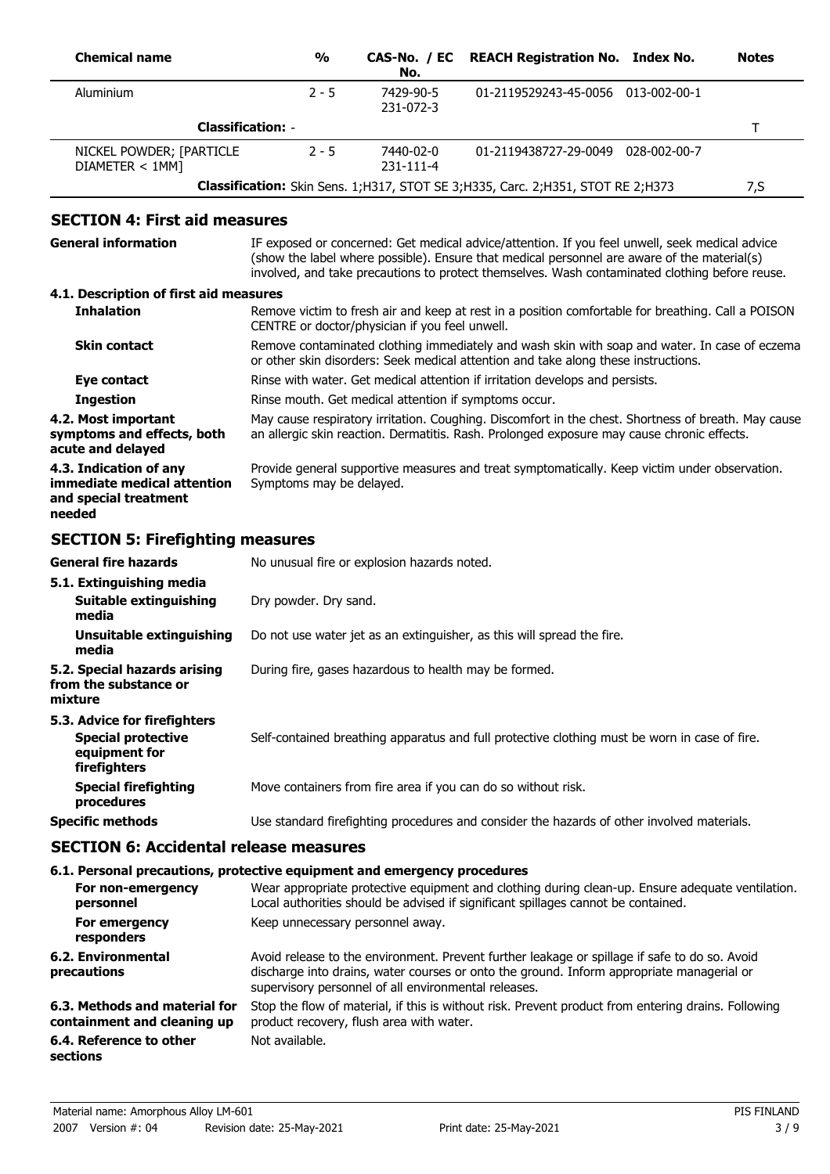| <b>Chemical name</b>                        | $\frac{0}{0}$ | No.                    | CAS-No. / EC REACH Registration No. Index No.                                          | <b>Notes</b> |
|---------------------------------------------|---------------|------------------------|----------------------------------------------------------------------------------------|--------------|
| Aluminium                                   | $2 - 5$       | 7429-90-5<br>231-072-3 | 01-2119529243-45-0056 013-002-00-1                                                     |              |
| <b>Classification: -</b>                    |               |                        |                                                                                        |              |
| NICKEL POWDER; [PARTICLE<br>DIAMETER < 1MM] | $2 - 5$       | 7440-02-0<br>231-111-4 | 01-2119438727-29-0049 028-002-00-7                                                     |              |
|                                             |               |                        | <b>Classification:</b> Skin Sens. 1;H317, STOT SE 3;H335, Carc. 2;H351, STOT RE 2;H373 | 7,S          |

### **SECTION 4: First aid measures**

| General information                                                                      | IF exposed or concerned: Get medical advice/attention. If you feel unwell, seek medical advice<br>(show the label where possible). Ensure that medical personnel are aware of the material(s)<br>involved, and take precautions to protect themselves. Wash contaminated clothing before reuse. |
|------------------------------------------------------------------------------------------|-------------------------------------------------------------------------------------------------------------------------------------------------------------------------------------------------------------------------------------------------------------------------------------------------|
| 4.1. Description of first aid measures                                                   |                                                                                                                                                                                                                                                                                                 |
| <b>Inhalation</b>                                                                        | Remove victim to fresh air and keep at rest in a position comfortable for breathing. Call a POISON<br>CENTRE or doctor/physician if you feel unwell.                                                                                                                                            |
| <b>Skin contact</b>                                                                      | Remove contaminated clothing immediately and wash skin with soap and water. In case of eczema<br>or other skin disorders: Seek medical attention and take along these instructions.                                                                                                             |
| Eye contact                                                                              | Rinse with water. Get medical attention if irritation develops and persists.                                                                                                                                                                                                                    |
| <b>Ingestion</b>                                                                         | Rinse mouth. Get medical attention if symptoms occur.                                                                                                                                                                                                                                           |
| 4.2. Most important<br>symptoms and effects, both<br>acute and delayed                   | May cause respiratory irritation. Coughing. Discomfort in the chest. Shortness of breath. May cause<br>an allergic skin reaction. Dermatitis. Rash. Prolonged exposure may cause chronic effects.                                                                                               |
| 4.3. Indication of any<br>immediate medical attention<br>and special treatment<br>needed | Provide general supportive measures and treat symptomatically. Keep victim under observation.<br>Symptoms may be delayed.                                                                                                                                                                       |
|                                                                                          |                                                                                                                                                                                                                                                                                                 |

## **SECTION 5: Firefighting measures**

| <b>General fire hazards</b><br>5.1. Extinguishing media                                    | No unusual fire or explosion hazards noted.                                                   |
|--------------------------------------------------------------------------------------------|-----------------------------------------------------------------------------------------------|
| Suitable extinguishing<br>media                                                            | Dry powder. Dry sand.                                                                         |
| Unsuitable extinguishing<br>media                                                          | Do not use water jet as an extinguisher, as this will spread the fire.                        |
| 5.2. Special hazards arising<br>from the substance or<br>mixture                           | During fire, gases hazardous to health may be formed.                                         |
| 5.3. Advice for firefighters<br><b>Special protective</b><br>equipment for<br>firefighters | Self-contained breathing apparatus and full protective clothing must be worn in case of fire. |
| <b>Special firefighting</b><br>procedures                                                  | Move containers from fire area if you can do so without risk.                                 |
| <b>Specific methods</b>                                                                    | Use standard firefighting procedures and consider the hazards of other involved materials.    |

### **SECTION 6: Accidental release measures**

### **6.1. Personal precautions, protective equipment and emergency procedures**

| For non-emergency<br>personnel                               | Wear appropriate protective equipment and clothing during clean-up. Ensure adequate ventilation.<br>Local authorities should be advised if significant spillages cannot be contained.                                                              |
|--------------------------------------------------------------|----------------------------------------------------------------------------------------------------------------------------------------------------------------------------------------------------------------------------------------------------|
| For emergency<br>responders                                  | Keep unnecessary personnel away.                                                                                                                                                                                                                   |
| 6.2. Environmental<br>precautions                            | Avoid release to the environment. Prevent further leakage or spillage if safe to do so. Avoid<br>discharge into drains, water courses or onto the ground. Inform appropriate managerial or<br>supervisory personnel of all environmental releases. |
| 6.3. Methods and material for<br>containment and cleaning up | Stop the flow of material, if this is without risk. Prevent product from entering drains. Following<br>product recovery, flush area with water.                                                                                                    |
| 6.4. Reference to other<br>sections                          | Not available.                                                                                                                                                                                                                                     |
|                                                              |                                                                                                                                                                                                                                                    |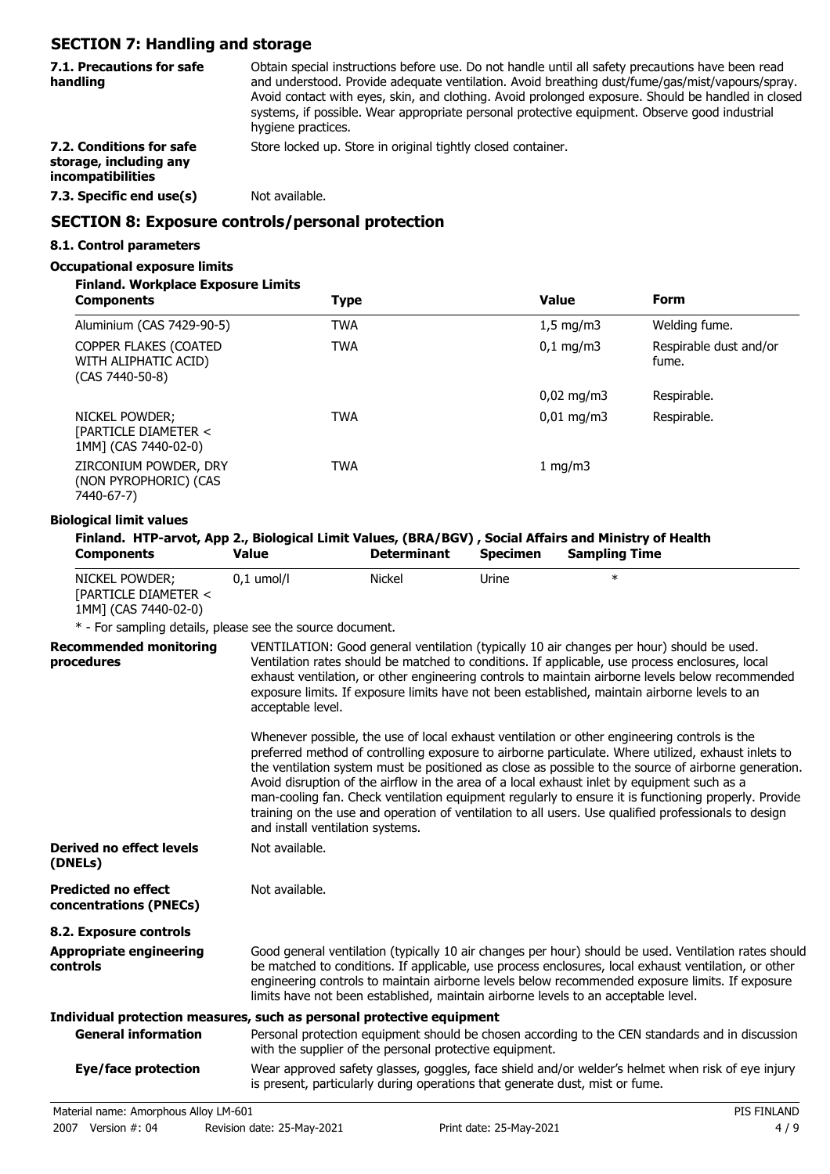## **SECTION 7: Handling and storage**

| 7.1. Precautions for safe<br>handling                                   | Obtain special instructions before use. Do not handle until all safety precautions have been read<br>and understood. Provide adequate ventilation. Avoid breathing dust/fume/gas/mist/vapours/spray.<br>Avoid contact with eyes, skin, and clothing. Avoid prolonged exposure. Should be handled in closed<br>systems, if possible. Wear appropriate personal protective equipment. Observe good industrial<br>hygiene practices. |
|-------------------------------------------------------------------------|-----------------------------------------------------------------------------------------------------------------------------------------------------------------------------------------------------------------------------------------------------------------------------------------------------------------------------------------------------------------------------------------------------------------------------------|
| 7.2. Conditions for safe<br>storage, including any<br>incompatibilities | Store locked up. Store in original tightly closed container.                                                                                                                                                                                                                                                                                                                                                                      |
| 7.3. Specific end use(s)                                                | Not available.                                                                                                                                                                                                                                                                                                                                                                                                                    |
|                                                                         | $\overline{A}$ $\overline{B}$ $\overline{B}$ $\overline{C}$ $\overline{D}$ $\overline{D}$ $\overline{D}$ $\overline{D}$ $\overline{D}$ $\overline{D}$ $\overline{D}$ $\overline{D}$ $\overline{D}$ $\overline{D}$ $\overline{D}$ $\overline{D}$ $\overline{D}$ $\overline{D}$ $\overline{D}$ $\overline{D}$ $\overline{D}$ $\overline{D}$ $\overline{D}$ $\overline{D}$ $\overline{$                                              |

### **SECTION 8: Exposure controls/personal protection**

### **8.1. Control parameters**

### **Occupational exposure limits**

### **Finland. Workplace Exposure Limits**

| <b>Components</b>                                                  | <b>Type</b> | <b>Value</b>           | <b>Form</b>                     |
|--------------------------------------------------------------------|-------------|------------------------|---------------------------------|
| Aluminium (CAS 7429-90-5)                                          | <b>TWA</b>  | $1,5 \text{ mg/m}$     | Welding fume.                   |
| COPPER FLAKES (COATED<br>WITH ALIPHATIC ACID)<br>$(CAS 7440-50-8)$ | <b>TWA</b>  | $0,1 \,\mathrm{mg/m3}$ | Respirable dust and/or<br>fume. |
|                                                                    |             | $0,02 \text{ mg/m}$    | Respirable.                     |
| NICKEL POWDER;<br>[PARTICLE DIAMETER <<br>1MM] (CAS 7440-02-0)     | <b>TWA</b>  | $0,01 \,\mathrm{mg/m}$ | Respirable.                     |
| ZIRCONIUM POWDER, DRY<br>(NON PYROPHORIC) (CAS<br>7440-67-7)       | <b>TWA</b>  | 1 mg/m $3$             |                                 |

#### **Biological limit values**

|                   |       |                    |                 | Finland. HTP-arvot, App 2., Biological Limit Values, (BRA/BGV), Social Affairs and Ministry of Health |
|-------------------|-------|--------------------|-----------------|-------------------------------------------------------------------------------------------------------|
| <b>Components</b> | Value | <b>Determinant</b> | <b>Specimen</b> | <b>Sampling Time</b>                                                                                  |

| NICKEL POWDER;                 | $0.1$ umol/l | Nickel | Jrine | J<br>ᄉ |  |
|--------------------------------|--------------|--------|-------|--------|--|
| <b>FPARTICLE DIAMETER &lt;</b> |              |        |       |        |  |
| 1MM] (CAS 7440-02-0)           |              |        |       |        |  |

\* - For sampling details, please see the source document.

| <b>Recommended monitoring</b><br>procedures          | VENTILATION: Good general ventilation (typically 10 air changes per hour) should be used.<br>Ventilation rates should be matched to conditions. If applicable, use process enclosures, local<br>exhaust ventilation, or other engineering controls to maintain airborne levels below recommended<br>exposure limits. If exposure limits have not been established, maintain airborne levels to an<br>acceptable level.                                                                                                                                                                                                                                         |  |  |
|------------------------------------------------------|----------------------------------------------------------------------------------------------------------------------------------------------------------------------------------------------------------------------------------------------------------------------------------------------------------------------------------------------------------------------------------------------------------------------------------------------------------------------------------------------------------------------------------------------------------------------------------------------------------------------------------------------------------------|--|--|
|                                                      | Whenever possible, the use of local exhaust ventilation or other engineering controls is the<br>preferred method of controlling exposure to airborne particulate. Where utilized, exhaust inlets to<br>the ventilation system must be positioned as close as possible to the source of airborne generation.<br>Avoid disruption of the airflow in the area of a local exhaust inlet by equipment such as a<br>man-cooling fan. Check ventilation equipment regularly to ensure it is functioning properly. Provide<br>training on the use and operation of ventilation to all users. Use qualified professionals to design<br>and install ventilation systems. |  |  |
| Derived no effect levels<br>(DNELs)                  | Not available.                                                                                                                                                                                                                                                                                                                                                                                                                                                                                                                                                                                                                                                 |  |  |
| <b>Predicted no effect</b><br>concentrations (PNECs) | Not available.                                                                                                                                                                                                                                                                                                                                                                                                                                                                                                                                                                                                                                                 |  |  |
| 8.2. Exposure controls                               |                                                                                                                                                                                                                                                                                                                                                                                                                                                                                                                                                                                                                                                                |  |  |
| <b>Appropriate engineering</b><br>controls           | Good general ventilation (typically 10 air changes per hour) should be used. Ventilation rates should<br>be matched to conditions. If applicable, use process enclosures, local exhaust ventilation, or other<br>engineering controls to maintain airborne levels below recommended exposure limits. If exposure<br>limits have not been established, maintain airborne levels to an acceptable level.                                                                                                                                                                                                                                                         |  |  |
|                                                      | Individual protection measures, such as personal protective equipment                                                                                                                                                                                                                                                                                                                                                                                                                                                                                                                                                                                          |  |  |
| <b>General information</b>                           | Personal protection equipment should be chosen according to the CEN standards and in discussion<br>with the supplier of the personal protective equipment.                                                                                                                                                                                                                                                                                                                                                                                                                                                                                                     |  |  |
| Eye/face protection                                  | Wear approved safety glasses, goggles, face shield and/or welder's helmet when risk of eye injury<br>is present, particularly during operations that generate dust, mist or fume.                                                                                                                                                                                                                                                                                                                                                                                                                                                                              |  |  |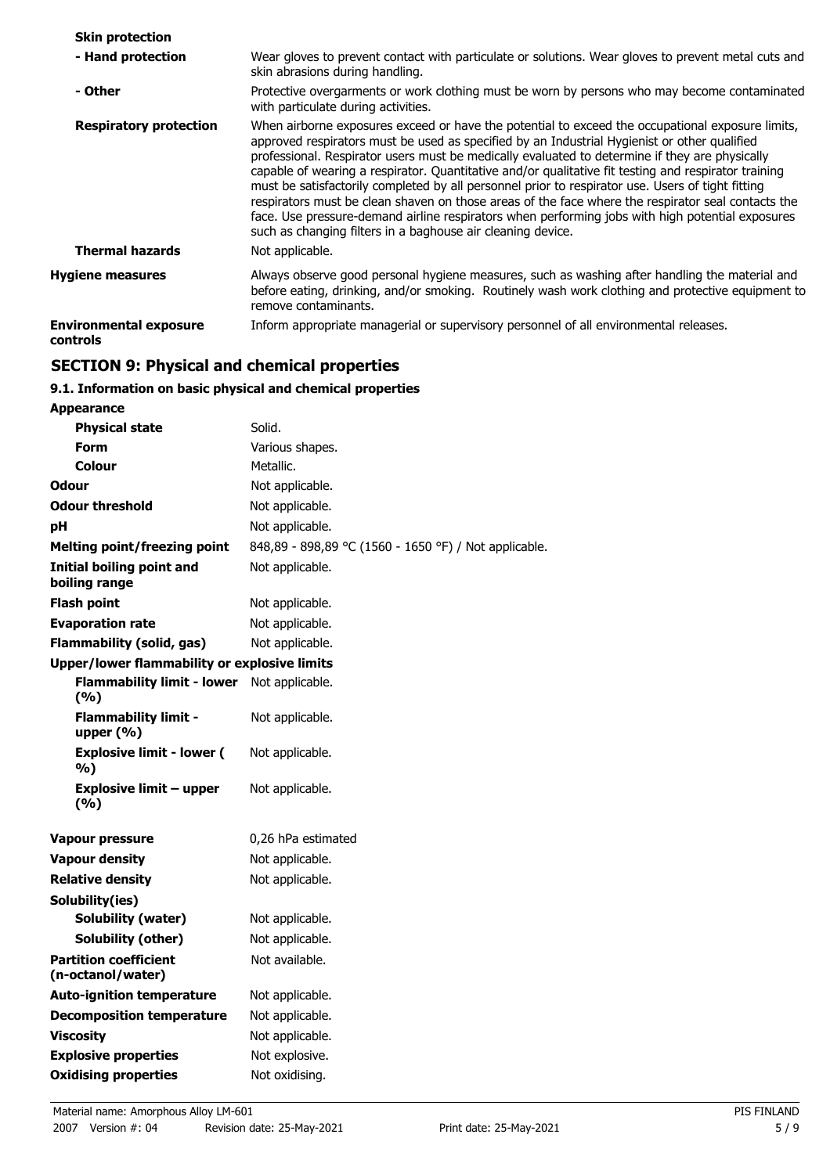| <b>Skin protection</b>                    |                                                                                                                                                                                                                                                                                                                                                                                                                                                                                                                                                                                                                                                                                                                                                                                          |
|-------------------------------------------|------------------------------------------------------------------------------------------------------------------------------------------------------------------------------------------------------------------------------------------------------------------------------------------------------------------------------------------------------------------------------------------------------------------------------------------------------------------------------------------------------------------------------------------------------------------------------------------------------------------------------------------------------------------------------------------------------------------------------------------------------------------------------------------|
| - Hand protection                         | Wear gloves to prevent contact with particulate or solutions. Wear gloves to prevent metal cuts and<br>skin abrasions during handling.                                                                                                                                                                                                                                                                                                                                                                                                                                                                                                                                                                                                                                                   |
| - Other                                   | Protective overgarments or work clothing must be worn by persons who may become contaminated<br>with particulate during activities.                                                                                                                                                                                                                                                                                                                                                                                                                                                                                                                                                                                                                                                      |
| <b>Respiratory protection</b>             | When airborne exposures exceed or have the potential to exceed the occupational exposure limits,<br>approved respirators must be used as specified by an Industrial Hygienist or other qualified<br>professional. Respirator users must be medically evaluated to determine if they are physically<br>capable of wearing a respirator. Quantitative and/or qualitative fit testing and respirator training<br>must be satisfactorily completed by all personnel prior to respirator use. Users of tight fitting<br>respirators must be clean shaven on those areas of the face where the respirator seal contacts the<br>face. Use pressure-demand airline respirators when performing jobs with high potential exposures<br>such as changing filters in a baghouse air cleaning device. |
| <b>Thermal hazards</b>                    | Not applicable.                                                                                                                                                                                                                                                                                                                                                                                                                                                                                                                                                                                                                                                                                                                                                                          |
| <b>Hygiene measures</b>                   | Always observe good personal hygiene measures, such as washing after handling the material and<br>before eating, drinking, and/or smoking. Routinely wash work clothing and protective equipment to<br>remove contaminants.                                                                                                                                                                                                                                                                                                                                                                                                                                                                                                                                                              |
| <b>Environmental exposure</b><br>controls | Inform appropriate managerial or supervisory personnel of all environmental releases.                                                                                                                                                                                                                                                                                                                                                                                                                                                                                                                                                                                                                                                                                                    |

## **SECTION 9: Physical and chemical properties**

## **9.1. Information on basic physical and chemical properties**

| <b>Appearance</b>                                   |                                                       |  |
|-----------------------------------------------------|-------------------------------------------------------|--|
| <b>Physical state</b>                               | Solid.                                                |  |
| <b>Form</b>                                         | Various shapes.                                       |  |
| Colour                                              | Metallic.                                             |  |
| Odour                                               | Not applicable.                                       |  |
| <b>Odour threshold</b>                              | Not applicable.                                       |  |
| рH                                                  | Not applicable.                                       |  |
| <b>Melting point/freezing point</b>                 | 848,89 - 898,89 °C (1560 - 1650 °F) / Not applicable. |  |
| <b>Initial boiling point and</b><br>boiling range   | Not applicable.                                       |  |
| <b>Flash point</b>                                  | Not applicable.                                       |  |
| <b>Evaporation rate</b>                             | Not applicable.                                       |  |
| <b>Flammability (solid, gas)</b>                    | Not applicable.                                       |  |
| <b>Upper/lower flammability or explosive limits</b> |                                                       |  |
| <b>Flammability limit - lower</b><br>(%)            | Not applicable.                                       |  |
| <b>Flammability limit -</b><br>upper $(% )$         | Not applicable.                                       |  |
| <b>Explosive limit - lower (</b><br>%)              | Not applicable.                                       |  |
| Explosive limit – upper<br>(%)                      | Not applicable.                                       |  |
| <b>Vapour pressure</b>                              | 0,26 hPa estimated                                    |  |
| <b>Vapour density</b>                               | Not applicable.                                       |  |
| <b>Relative density</b>                             | Not applicable.                                       |  |
| Solubility(ies)                                     |                                                       |  |
| Solubility (water)                                  | Not applicable.                                       |  |
| Solubility (other)                                  | Not applicable.                                       |  |
| <b>Partition coefficient</b><br>(n-octanol/water)   | Not available.                                        |  |
| <b>Auto-ignition temperature</b>                    | Not applicable.                                       |  |
| <b>Decomposition temperature</b>                    | Not applicable.                                       |  |
| <b>Viscosity</b>                                    | Not applicable.                                       |  |
| <b>Explosive properties</b>                         | Not explosive.                                        |  |
| <b>Oxidising properties</b>                         | Not oxidising.                                        |  |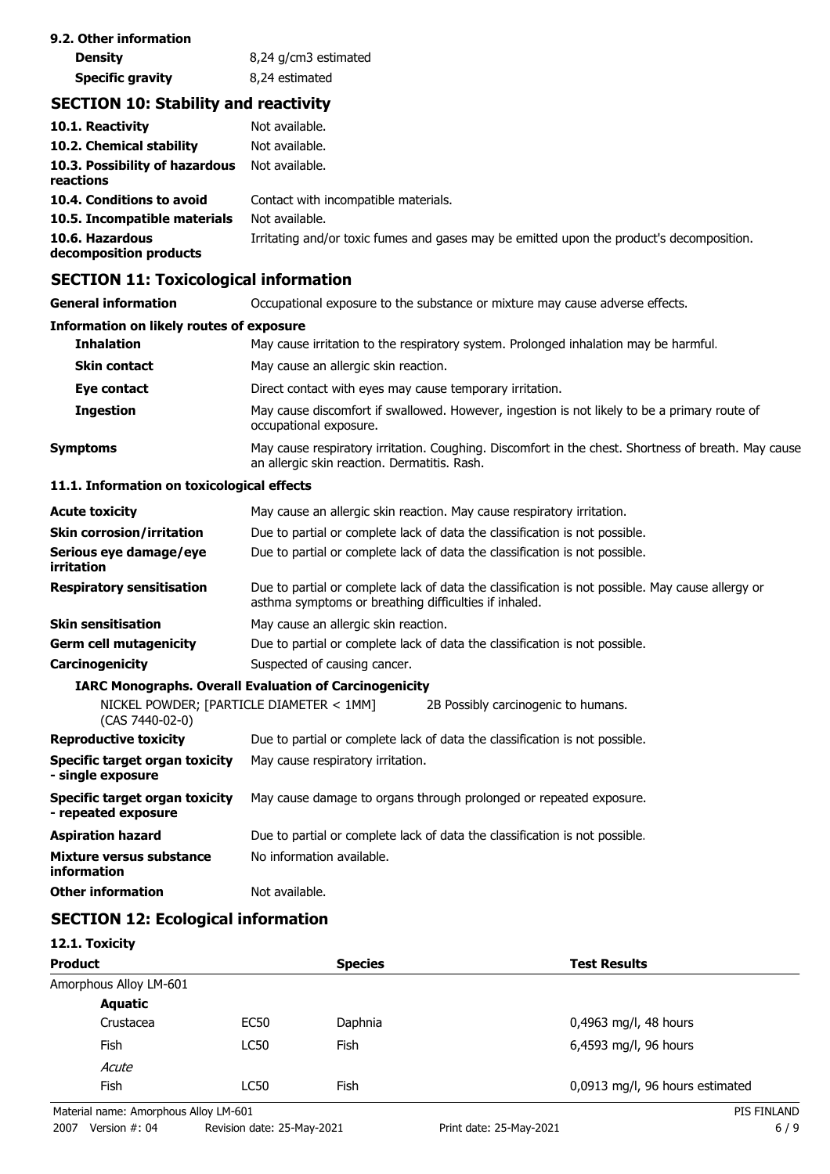| 9.2. Other information  |                      |  |
|-------------------------|----------------------|--|
| <b>Density</b>          | 8,24 g/cm3 estimated |  |
| <b>Specific gravity</b> | 8,24 estimated       |  |

## **SECTION 10: Stability and reactivity**

| 10.1. Reactivity<br>10.2. Chemical stability | Not available.<br>Not available.                                                         |
|----------------------------------------------|------------------------------------------------------------------------------------------|
| 10.3. Possibility of hazardous<br>reactions  | Not available.                                                                           |
| 10.4. Conditions to avoid                    | Contact with incompatible materials.                                                     |
| 10.5. Incompatible materials                 | Not available.                                                                           |
| 10.6. Hazardous<br>decomposition products    | Irritating and/or toxic fumes and gases may be emitted upon the product's decomposition. |

## **SECTION 11: Toxicological information**

| <b>General information</b>                                   | Occupational exposure to the substance or mixture may cause adverse effects.                                                                              |  |  |  |
|--------------------------------------------------------------|-----------------------------------------------------------------------------------------------------------------------------------------------------------|--|--|--|
| <b>Information on likely routes of exposure</b>              |                                                                                                                                                           |  |  |  |
| <b>Inhalation</b>                                            | May cause irritation to the respiratory system. Prolonged inhalation may be harmful.                                                                      |  |  |  |
| <b>Skin contact</b>                                          | May cause an allergic skin reaction.                                                                                                                      |  |  |  |
| Eye contact                                                  | Direct contact with eyes may cause temporary irritation.                                                                                                  |  |  |  |
| <b>Ingestion</b>                                             | May cause discomfort if swallowed. However, ingestion is not likely to be a primary route of<br>occupational exposure.                                    |  |  |  |
| <b>Symptoms</b>                                              | May cause respiratory irritation. Coughing. Discomfort in the chest. Shortness of breath. May cause<br>an allergic skin reaction. Dermatitis. Rash.       |  |  |  |
| 11.1. Information on toxicological effects                   |                                                                                                                                                           |  |  |  |
| <b>Acute toxicity</b>                                        | May cause an allergic skin reaction. May cause respiratory irritation.                                                                                    |  |  |  |
| <b>Skin corrosion/irritation</b>                             | Due to partial or complete lack of data the classification is not possible.                                                                               |  |  |  |
| Serious eye damage/eye<br>irritation                         | Due to partial or complete lack of data the classification is not possible.                                                                               |  |  |  |
| <b>Respiratory sensitisation</b>                             | Due to partial or complete lack of data the classification is not possible. May cause allergy or<br>asthma symptoms or breathing difficulties if inhaled. |  |  |  |
| <b>Skin sensitisation</b>                                    | May cause an allergic skin reaction.                                                                                                                      |  |  |  |
| <b>Germ cell mutagenicity</b>                                | Due to partial or complete lack of data the classification is not possible.                                                                               |  |  |  |
| Carcinogenicity                                              | Suspected of causing cancer.                                                                                                                              |  |  |  |
|                                                              | <b>IARC Monographs. Overall Evaluation of Carcinogenicity</b>                                                                                             |  |  |  |
| NICKEL POWDER; [PARTICLE DIAMETER < 1MM]<br>(CAS 7440-02-0)  | 2B Possibly carcinogenic to humans.                                                                                                                       |  |  |  |
| <b>Reproductive toxicity</b>                                 | Due to partial or complete lack of data the classification is not possible.                                                                               |  |  |  |
| Specific target organ toxicity<br>- single exposure          | May cause respiratory irritation.                                                                                                                         |  |  |  |
| <b>Specific target organ toxicity</b><br>- repeated exposure | May cause damage to organs through prolonged or repeated exposure.                                                                                        |  |  |  |

| Aspiration hazard                       | Due to partial or complete lack of data the classification is not possible. |
|-----------------------------------------|-----------------------------------------------------------------------------|
| Mixture versus substance<br>information | No information available.                                                   |

**Other information** Not available.

## **SECTION 12: Ecological information**

| 12.1. Toxicity                        |             |                |                                 |  |
|---------------------------------------|-------------|----------------|---------------------------------|--|
| <b>Product</b>                        |             | <b>Species</b> | <b>Test Results</b>             |  |
| Amorphous Alloy LM-601                |             |                |                                 |  |
| <b>Aquatic</b>                        |             |                |                                 |  |
| Crustacea                             | EC50        | Daphnia        | 0,4963 mg/l, 48 hours           |  |
| Fish                                  | <b>LC50</b> | <b>Fish</b>    | 6,4593 mg/l, 96 hours           |  |
| Acute                                 |             |                |                                 |  |
| Fish                                  | <b>LC50</b> | <b>Fish</b>    | 0,0913 mg/l, 96 hours estimated |  |
| Material name: Amorphous Alloy LM-601 |             |                | PIS FINLAND                     |  |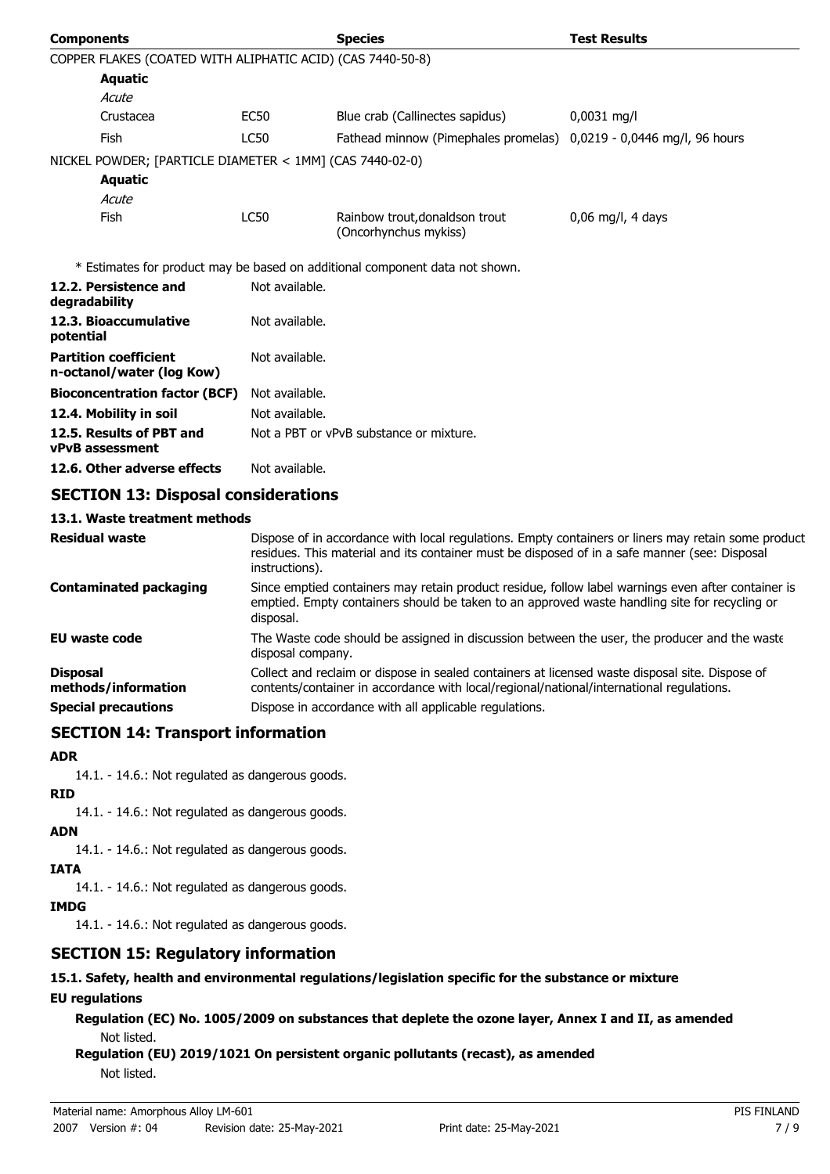| <b>Components</b>                                          |                                                                                                                                                                                                                        | <b>Species</b>                                                                                                                                                                              | <b>Test Results</b> |
|------------------------------------------------------------|------------------------------------------------------------------------------------------------------------------------------------------------------------------------------------------------------------------------|---------------------------------------------------------------------------------------------------------------------------------------------------------------------------------------------|---------------------|
| COPPER FLAKES (COATED WITH ALIPHATIC ACID) (CAS 7440-50-8) |                                                                                                                                                                                                                        |                                                                                                                                                                                             |                     |
| Aquatic                                                    |                                                                                                                                                                                                                        |                                                                                                                                                                                             |                     |
| Acute                                                      |                                                                                                                                                                                                                        |                                                                                                                                                                                             |                     |
| Crustacea                                                  | EC50                                                                                                                                                                                                                   | Blue crab (Callinectes sapidus)                                                                                                                                                             | $0,0031$ mg/l       |
| Fish                                                       | <b>LC50</b>                                                                                                                                                                                                            | Fathead minnow (Pimephales promelas) 0,0219 - 0,0446 mg/l, 96 hours                                                                                                                         |                     |
| NICKEL POWDER; [PARTICLE DIAMETER < 1MM] (CAS 7440-02-0)   |                                                                                                                                                                                                                        |                                                                                                                                                                                             |                     |
| <b>Aquatic</b>                                             |                                                                                                                                                                                                                        |                                                                                                                                                                                             |                     |
| Acute                                                      |                                                                                                                                                                                                                        |                                                                                                                                                                                             |                     |
| Fish                                                       | <b>LC50</b>                                                                                                                                                                                                            | Rainbow trout, donaldson trout<br>(Oncorhynchus mykiss)                                                                                                                                     | $0,06$ mg/l, 4 days |
|                                                            |                                                                                                                                                                                                                        | * Estimates for product may be based on additional component data not shown.                                                                                                                |                     |
| 12.2. Persistence and<br>degradability                     | Not available.                                                                                                                                                                                                         |                                                                                                                                                                                             |                     |
| 12.3. Bioaccumulative<br>potential                         | Not available.                                                                                                                                                                                                         |                                                                                                                                                                                             |                     |
| <b>Partition coefficient</b><br>n-octanol/water (log Kow)  | Not available.                                                                                                                                                                                                         |                                                                                                                                                                                             |                     |
| <b>Bioconcentration factor (BCF)</b>                       | Not available.                                                                                                                                                                                                         |                                                                                                                                                                                             |                     |
| 12.4. Mobility in soil                                     | Not available.                                                                                                                                                                                                         |                                                                                                                                                                                             |                     |
| 12.5. Results of PBT and<br><b>vPvB</b> assessment         |                                                                                                                                                                                                                        | Not a PBT or vPvB substance or mixture.                                                                                                                                                     |                     |
| 12.6. Other adverse effects                                | Not available.                                                                                                                                                                                                         |                                                                                                                                                                                             |                     |
| <b>SECTION 13: Disposal considerations</b>                 |                                                                                                                                                                                                                        |                                                                                                                                                                                             |                     |
| 13.1. Waste treatment methods                              |                                                                                                                                                                                                                        |                                                                                                                                                                                             |                     |
| <b>Residual waste</b>                                      | Dispose of in accordance with local regulations. Empty containers or liners may retain some product<br>residues. This material and its container must be disposed of in a safe manner (see: Disposal<br>instructions). |                                                                                                                                                                                             |                     |
| <b>Contaminated packaging</b>                              | Since emptied containers may retain product residue, follow label warnings even after container is<br>emptied. Empty containers should be taken to an approved waste handling site for recycling or<br>disposal.       |                                                                                                                                                                                             |                     |
| <b>EU</b> waste code                                       | disposal company.                                                                                                                                                                                                      | The Waste code should be assigned in discussion between the user, the producer and the waste                                                                                                |                     |
| <b>Disposal</b><br>methods/information                     |                                                                                                                                                                                                                        | Collect and reclaim or dispose in sealed containers at licensed waste disposal site. Dispose of<br>contents/container in accordance with local/regional/national/international regulations. |                     |
| <b>Special precautions</b>                                 |                                                                                                                                                                                                                        | Dispose in accordance with all applicable regulations.                                                                                                                                      |                     |

## **SECTION 14: Transport information**

### **ADR**

14.1. - 14.6.: Not regulated as dangerous goods.

- **RID**
	- 14.1. 14.6.: Not regulated as dangerous goods.

### **ADN**

14.1. - 14.6.: Not regulated as dangerous goods.

**IATA**

14.1. - 14.6.: Not regulated as dangerous goods.

### **IMDG**

14.1. - 14.6.: Not regulated as dangerous goods.

## **SECTION 15: Regulatory information**

**15.1. Safety, health and environmental regulations/legislation specific for the substance or mixture**

### **EU regulations**

**Regulation (EC) No. 1005/2009 on substances that deplete the ozone layer, Annex I and II, as amended** Not listed.

**Regulation (EU) 2019/1021 On persistent organic pollutants (recast), as amended** Not listed.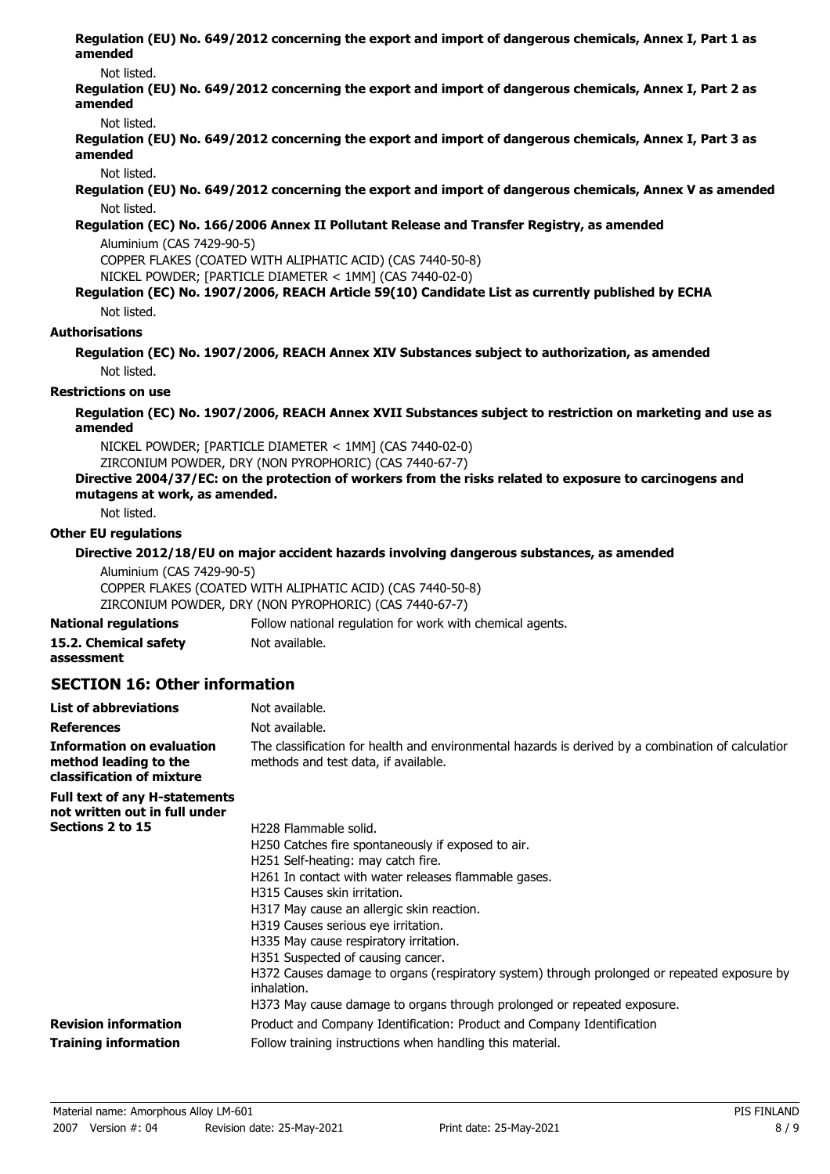**Regulation (EU) No. 649/2012 concerning the export and import of dangerous chemicals, Annex I, Part 1 as amended**

#### Not listed.

**Regulation (EU) No. 649/2012 concerning the export and import of dangerous chemicals, Annex I, Part 2 as amended**

Not listed.

**Regulation (EU) No. 649/2012 concerning the export and import of dangerous chemicals, Annex I, Part 3 as amended**

Not listed.

**Regulation (EU) No. 649/2012 concerning the export and import of dangerous chemicals, Annex V as amended** Not listed.

### **Regulation (EC) No. 166/2006 Annex II Pollutant Release and Transfer Registry, as amended**

Aluminium (CAS 7429-90-5)

COPPER FLAKES (COATED WITH ALIPHATIC ACID) (CAS 7440-50-8)

NICKEL POWDER; [PARTICLE DIAMETER < 1MM] (CAS 7440-02-0)

### **Regulation (EC) No. 1907/2006, REACH Article 59(10) Candidate List as currently published by ECHA**

Not listed.

### **Authorisations**

**Regulation (EC) No. 1907/2006, REACH Annex XIV Substances subject to authorization, as amended** Not listed.

#### **Restrictions on use**

**Regulation (EC) No. 1907/2006, REACH Annex XVII Substances subject to restriction on marketing and use as amended**

NICKEL POWDER; [PARTICLE DIAMETER < 1MM] (CAS 7440-02-0) ZIRCONIUM POWDER, DRY (NON PYROPHORIC) (CAS 7440-67-7)

### **Directive 2004/37/EC: on the protection of workers from the risks related to exposure to carcinogens and mutagens at work, as amended.**

Not listed.

### **Other EU regulations**

### **Directive 2012/18/EU on major accident hazards involving dangerous substances, as amended**

| Aluminium (CAS 7429-90-5)                                  |
|------------------------------------------------------------|
| COPPER FLAKES (COATED WITH ALIPHATIC ACID) (CAS 7440-50-8) |
| ZIRCONIUM POWDER, DRY (NON PYROPHORIC) (CAS 7440-67-7)     |
|                                                            |

| <b>National regulations</b> | Follow national regulation for work with chemical agents. |
|-----------------------------|-----------------------------------------------------------|
| 15.2. Chemical safety       | Not available.                                            |
| assessment                  |                                                           |

### **SECTION 16: Other information**

| <b>List of abbreviations</b>                                                           | Not available.                                                                                                                             |
|----------------------------------------------------------------------------------------|--------------------------------------------------------------------------------------------------------------------------------------------|
| <b>References</b>                                                                      | Not available.                                                                                                                             |
| <b>Information on evaluation</b><br>method leading to the<br>classification of mixture | The classification for health and environmental hazards is derived by a combination of calculatior<br>methods and test data, if available. |
| <b>Full text of any H-statements</b><br>not written out in full under                  |                                                                                                                                            |
| Sections 2 to 15                                                                       | H <sub>228</sub> Flammable solid.                                                                                                          |
|                                                                                        | H250 Catches fire spontaneously if exposed to air.                                                                                         |
|                                                                                        | H251 Self-heating: may catch fire.                                                                                                         |
|                                                                                        | H261 In contact with water releases flammable gases.                                                                                       |
|                                                                                        | H315 Causes skin irritation.                                                                                                               |
|                                                                                        | H317 May cause an allergic skin reaction.                                                                                                  |
|                                                                                        | H319 Causes serious eye irritation.                                                                                                        |
|                                                                                        | H335 May cause respiratory irritation.                                                                                                     |
|                                                                                        | H351 Suspected of causing cancer.                                                                                                          |
|                                                                                        | H372 Causes damage to organs (respiratory system) through prolonged or repeated exposure by<br>inhalation.                                 |
|                                                                                        | H373 May cause damage to organs through prolonged or repeated exposure.                                                                    |
| <b>Revision information</b>                                                            | Product and Company Identification: Product and Company Identification                                                                     |
| <b>Training information</b>                                                            | Follow training instructions when handling this material.                                                                                  |